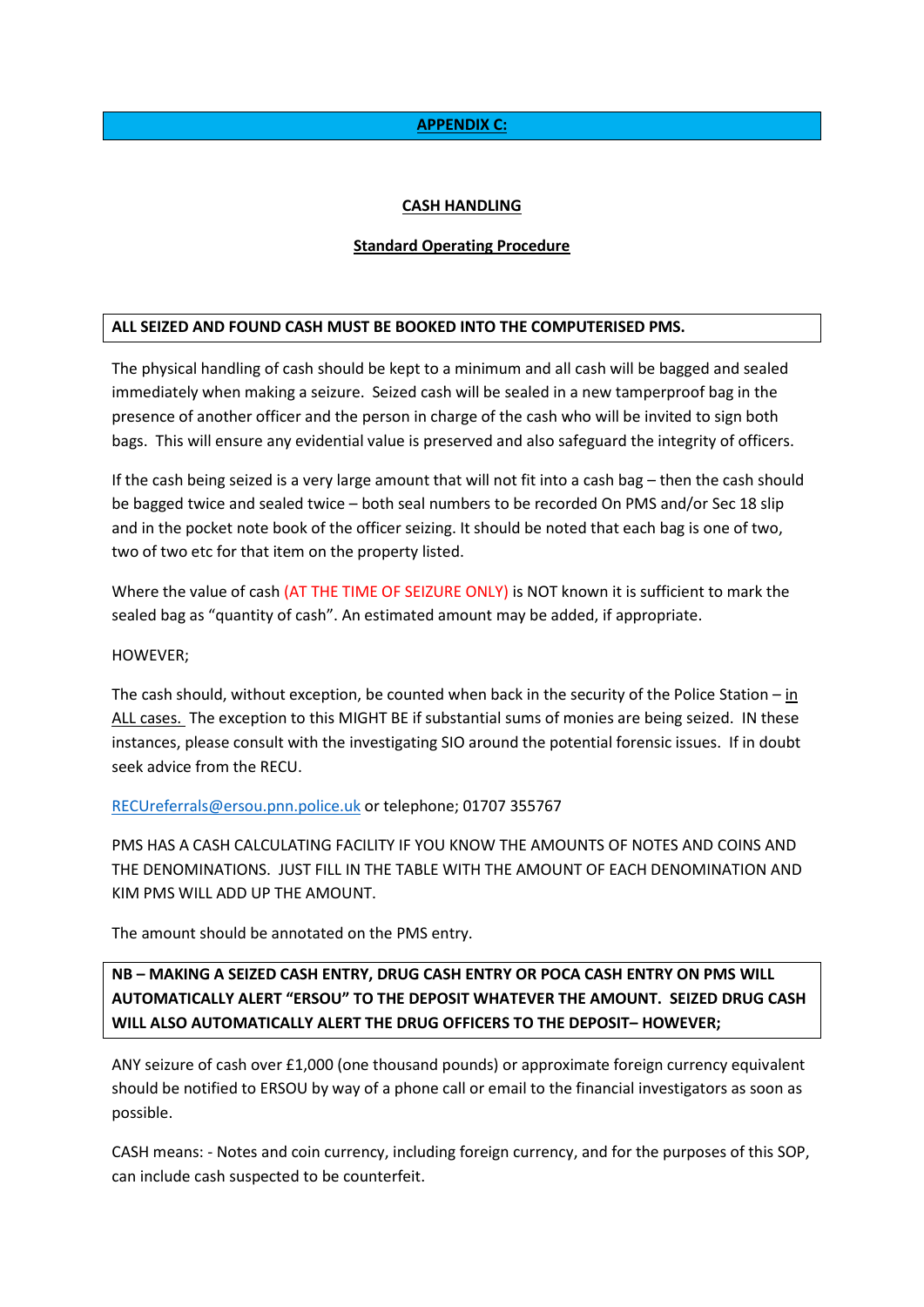# **APPENDIX C:**

# **CASH HANDLING**

#### **Standard Operating Procedure**

# **ALL SEIZED AND FOUND CASH MUST BE BOOKED INTO THE COMPUTERISED PMS.**

The physical handling of cash should be kept to a minimum and all cash will be bagged and sealed immediately when making a seizure. Seized cash will be sealed in a new tamperproof bag in the presence of another officer and the person in charge of the cash who will be invited to sign both bags. This will ensure any evidential value is preserved and also safeguard the integrity of officers.

If the cash being seized is a very large amount that will not fit into a cash bag – then the cash should be bagged twice and sealed twice – both seal numbers to be recorded On PMS and/or Sec 18 slip and in the pocket note book of the officer seizing. It should be noted that each bag is one of two, two of two etc for that item on the property listed.

Where the value of cash (AT THE TIME OF SEIZURE ONLY) is NOT known it is sufficient to mark the sealed bag as "quantity of cash". An estimated amount may be added, if appropriate.

#### HOWEVER;

The cash should, without exception, be counted when back in the security of the Police Station – in ALL cases. The exception to this MIGHT BE if substantial sums of monies are being seized. IN these instances, please consult with the investigating SIO around the potential forensic issues. If in doubt seek advice from the RECU.

#### [RECUreferrals@ersou.pnn.police.uk](mailto:RECUreferrals@ersou.pnn.police.uk) or telephone; 01707 355767

PMS HAS A CASH CALCULATING FACILITY IF YOU KNOW THE AMOUNTS OF NOTES AND COINS AND THE DENOMINATIONS. JUST FILL IN THE TABLE WITH THE AMOUNT OF EACH DENOMINATION AND KIM PMS WILL ADD UP THE AMOUNT.

The amount should be annotated on the PMS entry.

# **NB – MAKING A SEIZED CASH ENTRY, DRUG CASH ENTRY OR POCA CASH ENTRY ON PMS WILL AUTOMATICALLY ALERT "ERSOU" TO THE DEPOSIT WHATEVER THE AMOUNT. SEIZED DRUG CASH WILL ALSO AUTOMATICALLY ALERT THE DRUG OFFICERS TO THE DEPOSIT– HOWEVER;**

ANY seizure of cash over £1,000 (one thousand pounds) or approximate foreign currency equivalent should be notified to ERSOU by way of a phone call or email to the financial investigators as soon as possible.

CASH means: - Notes and coin currency, including foreign currency, and for the purposes of this SOP, can include cash suspected to be counterfeit.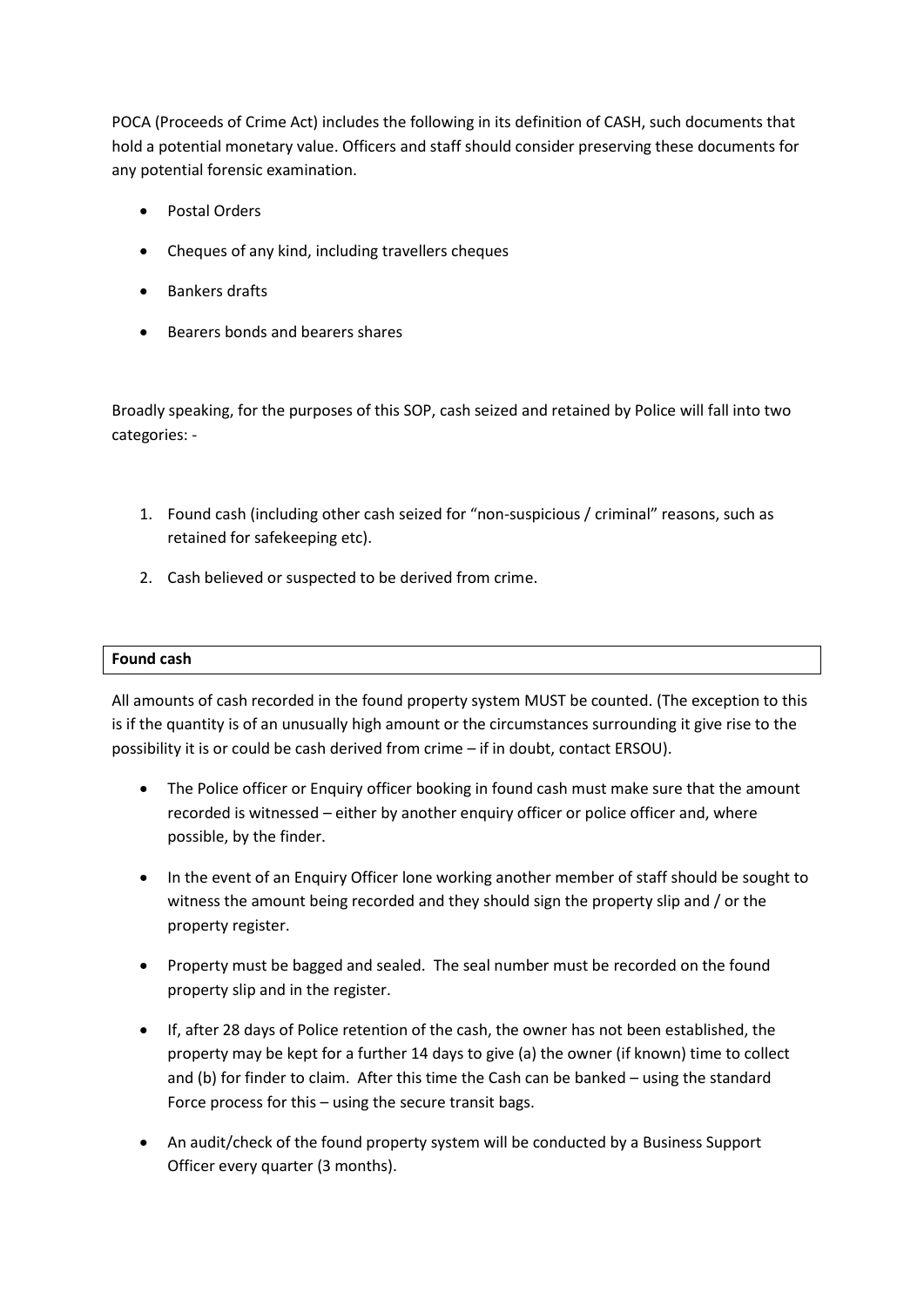POCA (Proceeds of Crime Act) includes the following in its definition of CASH, such documents that hold a potential monetary value. Officers and staff should consider preserving these documents for any potential forensic examination.

- Postal Orders
- Cheques of any kind, including travellers cheques
- Bankers drafts
- Bearers bonds and bearers shares

Broadly speaking, for the purposes of this SOP, cash seized and retained by Police will fall into two categories: -

- 1. Found cash (including other cash seized for "non-suspicious / criminal" reasons, such as retained for safekeeping etc).
- 2. Cash believed or suspected to be derived from crime.

#### **Found cash**

All amounts of cash recorded in the found property system MUST be counted. (The exception to this is if the quantity is of an unusually high amount or the circumstances surrounding it give rise to the possibility it is or could be cash derived from crime – if in doubt, contact ERSOU).

- The Police officer or Enquiry officer booking in found cash must make sure that the amount recorded is witnessed – either by another enquiry officer or police officer and, where possible, by the finder.
- In the event of an Enquiry Officer lone working another member of staff should be sought to witness the amount being recorded and they should sign the property slip and / or the property register.
- Property must be bagged and sealed. The seal number must be recorded on the found property slip and in the register.
- If, after 28 days of Police retention of the cash, the owner has not been established, the property may be kept for a further 14 days to give (a) the owner (if known) time to collect and (b) for finder to claim. After this time the Cash can be banked – using the standard Force process for this – using the secure transit bags.
- An audit/check of the found property system will be conducted by a Business Support Officer every quarter (3 months).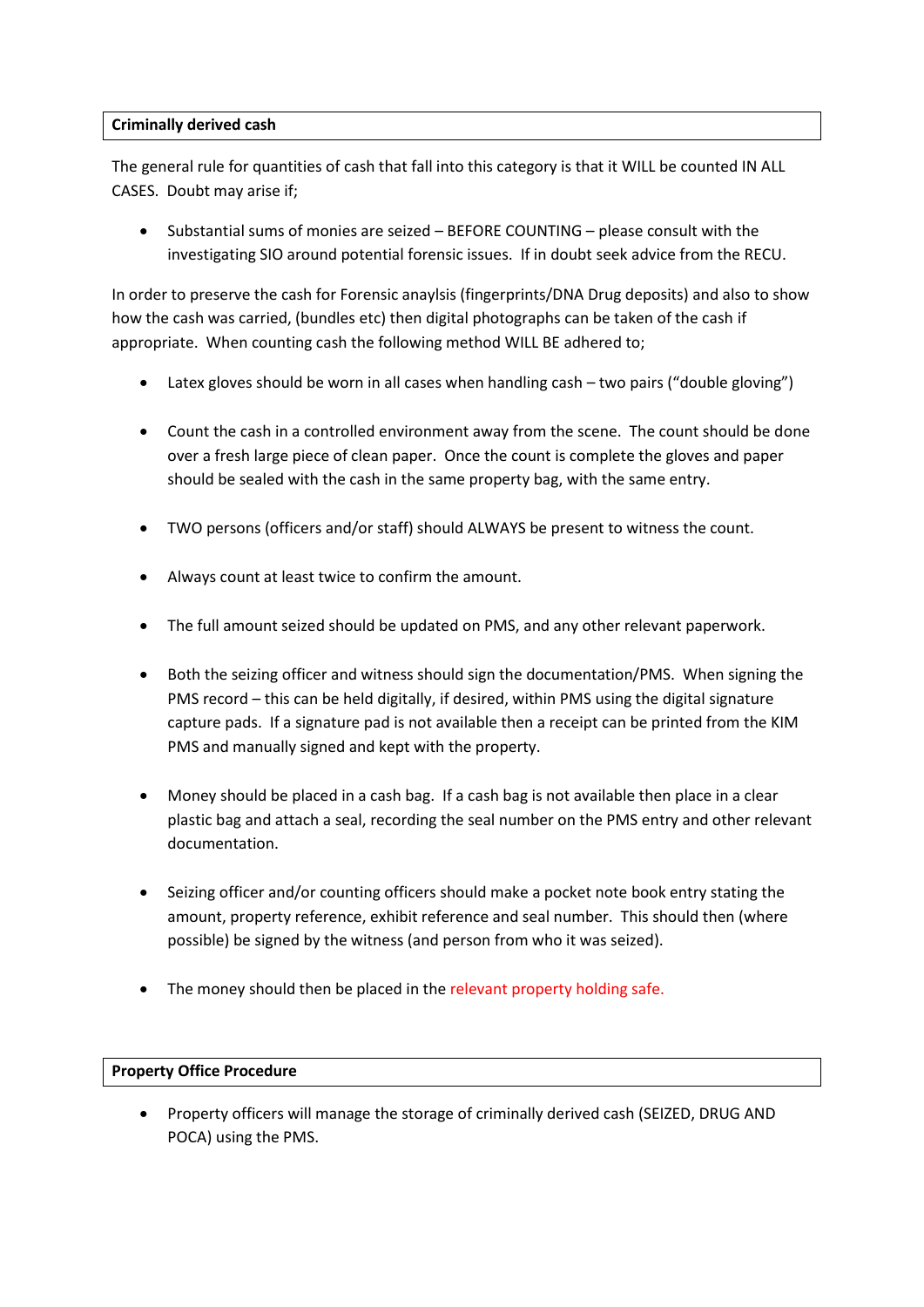# **Criminally derived cash**

The general rule for quantities of cash that fall into this category is that it WILL be counted IN ALL CASES. Doubt may arise if;

 Substantial sums of monies are seized – BEFORE COUNTING – please consult with the investigating SIO around potential forensic issues. If in doubt seek advice from the RECU.

In order to preserve the cash for Forensic anaylsis (fingerprints/DNA Drug deposits) and also to show how the cash was carried, (bundles etc) then digital photographs can be taken of the cash if appropriate. When counting cash the following method WILL BE adhered to;

- Latex gloves should be worn in all cases when handling cash two pairs ("double gloving")
- Count the cash in a controlled environment away from the scene. The count should be done over a fresh large piece of clean paper. Once the count is complete the gloves and paper should be sealed with the cash in the same property bag, with the same entry.
- TWO persons (officers and/or staff) should ALWAYS be present to witness the count.
- Always count at least twice to confirm the amount.
- The full amount seized should be updated on PMS, and any other relevant paperwork.
- Both the seizing officer and witness should sign the documentation/PMS. When signing the PMS record – this can be held digitally, if desired, within PMS using the digital signature capture pads. If a signature pad is not available then a receipt can be printed from the KIM PMS and manually signed and kept with the property.
- Money should be placed in a cash bag. If a cash bag is not available then place in a clear plastic bag and attach a seal, recording the seal number on the PMS entry and other relevant documentation.
- Seizing officer and/or counting officers should make a pocket note book entry stating the amount, property reference, exhibit reference and seal number. This should then (where possible) be signed by the witness (and person from who it was seized).
- The money should then be placed in the relevant property holding safe.

#### **Property Office Procedure**

 Property officers will manage the storage of criminally derived cash (SEIZED, DRUG AND POCA) using the PMS.